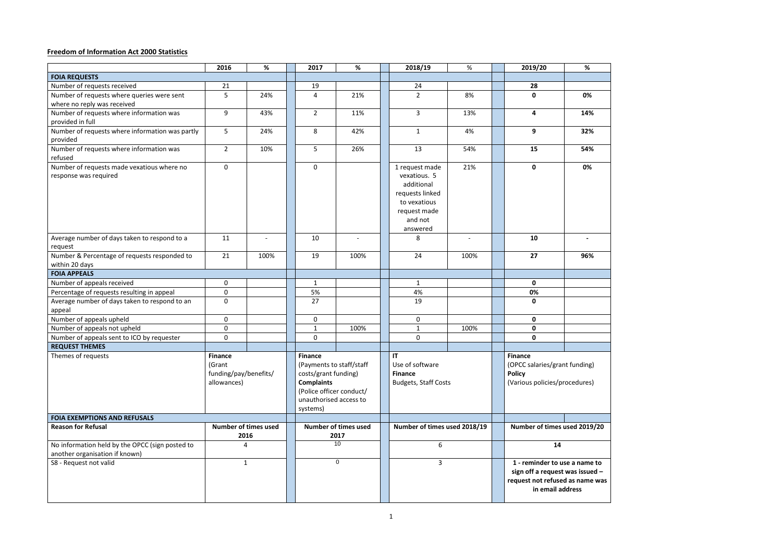## **Freedom of Information Act 2000 Statistics**

|                                                 | 2016                        | %                        | 2017                        | %    | 2018/19                      | %    | 2019/20                         | %   |
|-------------------------------------------------|-----------------------------|--------------------------|-----------------------------|------|------------------------------|------|---------------------------------|-----|
| <b>FOIA REQUESTS</b>                            |                             |                          |                             |      |                              |      |                                 |     |
| Number of requests received                     | 21                          |                          | 19                          |      | 24                           |      | 28                              |     |
| Number of requests where queries were sent      | 5                           | 24%                      | 4                           | 21%  | $\overline{2}$               | 8%   | $\mathbf 0$                     | 0%  |
| where no reply was received                     |                             |                          |                             |      |                              |      |                                 |     |
| Number of requests where information was        | 9                           | 43%                      | $\overline{2}$              | 11%  | $\mathbf{3}$                 | 13%  | 4                               | 14% |
| provided in full                                |                             |                          |                             |      |                              |      |                                 |     |
| Number of requests where information was partly | 5                           | 24%                      | 8                           | 42%  | $\mathbf{1}$                 | 4%   | 9                               | 32% |
| provided                                        |                             |                          |                             |      |                              |      |                                 |     |
| Number of requests where information was        | $\overline{2}$              | 10%                      | 5                           | 26%  | 13                           | 54%  | 15                              | 54% |
| refused                                         |                             |                          |                             |      |                              |      |                                 |     |
| Number of requests made vexatious where no      | $\mathsf{O}$                |                          | 0                           |      | 1 request made               | 21%  | $\mathbf 0$                     | 0%  |
| response was required                           |                             |                          |                             |      | vexatious. 5                 |      |                                 |     |
|                                                 |                             |                          |                             |      | additional                   |      |                                 |     |
|                                                 |                             |                          |                             |      | requests linked              |      |                                 |     |
|                                                 |                             |                          |                             |      | to vexatious                 |      |                                 |     |
|                                                 |                             |                          |                             |      | request made                 |      |                                 |     |
|                                                 |                             |                          |                             |      | and not                      |      |                                 |     |
|                                                 |                             |                          |                             |      | answered                     |      |                                 |     |
| Average number of days taken to respond to a    | 11                          | $\overline{\phantom{a}}$ | 10                          |      | 8                            |      | 10                              |     |
| request                                         |                             |                          |                             |      |                              |      |                                 |     |
| Number & Percentage of requests responded to    | 21                          | 100%                     | 19                          | 100% | 24                           | 100% | 27                              | 96% |
|                                                 |                             |                          |                             |      |                              |      |                                 |     |
| within 20 days<br><b>FOIA APPEALS</b>           |                             |                          |                             |      |                              |      |                                 |     |
|                                                 |                             |                          |                             |      |                              |      | $\mathbf 0$                     |     |
| Number of appeals received                      | $\mathsf{O}$<br>0           |                          | $\mathbf{1}$<br>5%          |      | $\mathbf{1}$<br>4%           |      | 0%                              |     |
| Percentage of requests resulting in appeal      |                             |                          |                             |      |                              |      |                                 |     |
| Average number of days taken to respond to an   | 0                           |                          | 27                          |      | 19                           |      | 0                               |     |
| appeal                                          |                             |                          |                             |      |                              |      |                                 |     |
| Number of appeals upheld                        | 0                           |                          | 0                           |      | $\mathbf 0$                  |      | $\mathbf 0$                     |     |
| Number of appeals not upheld                    | 0                           |                          | $1\,$                       | 100% | $\mathbf{1}$                 | 100% | $\mathbf 0$                     |     |
| Number of appeals sent to ICO by requester      | 0                           |                          | 0                           |      | $\mathbf 0$                  |      | $\mathbf 0$                     |     |
| <b>REQUEST THEMES</b>                           |                             |                          |                             |      |                              |      |                                 |     |
| Themes of requests                              | <b>Finance</b>              |                          | <b>Finance</b>              |      | $\mathsf{I}\mathsf{T}$       |      | <b>Finance</b>                  |     |
|                                                 | (Grant                      |                          | (Payments to staff/staff    |      | Use of software              |      | (OPCC salaries/grant funding)   |     |
|                                                 | funding/pay/benefits/       |                          | costs/grant funding)        |      | <b>Finance</b>               |      | <b>Policy</b>                   |     |
|                                                 | allowances)                 |                          | <b>Complaints</b>           |      | <b>Budgets, Staff Costs</b>  |      | (Various policies/procedures)   |     |
|                                                 |                             |                          | (Police officer conduct/    |      |                              |      |                                 |     |
|                                                 |                             |                          | unauthorised access to      |      |                              |      |                                 |     |
|                                                 |                             |                          | systems)                    |      |                              |      |                                 |     |
| <b>FOIA EXEMPTIONS AND REFUSALS</b>             |                             |                          |                             |      |                              |      |                                 |     |
| <b>Reason for Refusal</b>                       | <b>Number of times used</b> |                          | <b>Number of times used</b> |      | Number of times used 2018/19 |      | Number of times used 2019/20    |     |
|                                                 |                             | 2016                     | 2017                        |      |                              |      |                                 |     |
| No information held by the OPCC (sign posted to | 4                           |                          | 10                          |      | 6                            |      | 14                              |     |
| another organisation if known)                  |                             |                          |                             |      |                              |      |                                 |     |
| S8 - Request not valid                          | $\mathbf{1}$                |                          | $\mathbf 0$                 |      | 3                            |      | 1 - reminder to use a name to   |     |
|                                                 |                             |                          |                             |      |                              |      | sign off a request was issued - |     |
|                                                 |                             |                          |                             |      |                              |      | request not refused as name wa  |     |
|                                                 |                             |                          |                             |      |                              |      | in email address                |     |
|                                                 |                             |                          |                             |      |                              |      |                                 |     |
|                                                 |                             |                          |                             |      |                              |      |                                 |     |